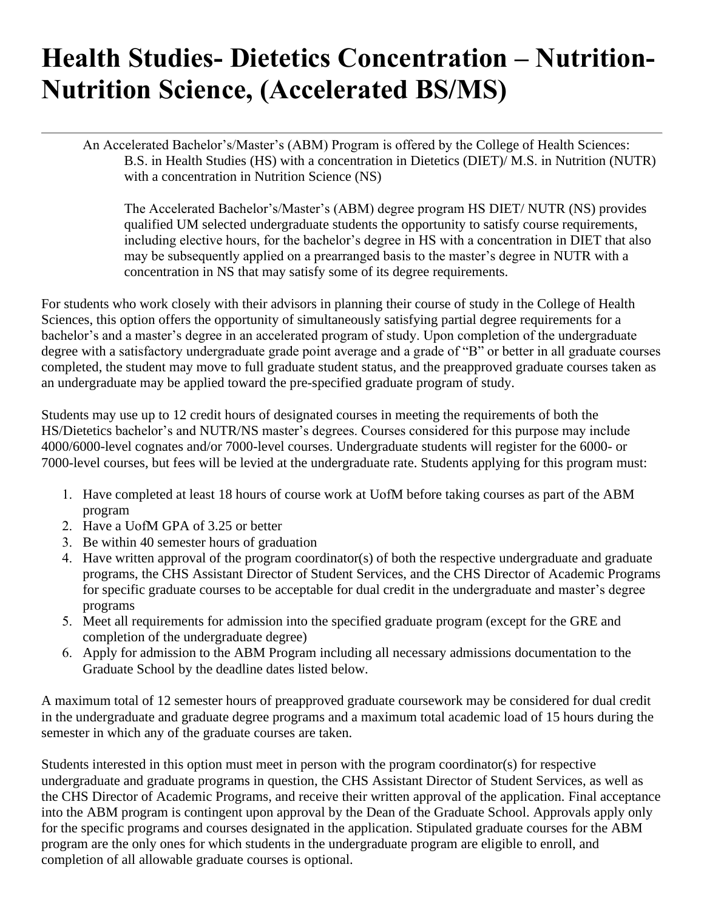## **Health Studies- Dietetics Concentration – Nutrition-Nutrition Science, (Accelerated BS/MS)**

An Accelerated Bachelor's/Master's (ABM) Program is offered by the College of Health Sciences: B.S. in Health Studies (HS) with a concentration in Dietetics (DIET)/ M.S. in Nutrition (NUTR) with a concentration in Nutrition Science (NS)

The Accelerated Bachelor's/Master's (ABM) degree program HS DIET/ NUTR (NS) provides qualified UM selected undergraduate students the opportunity to satisfy course requirements, including elective hours, for the bachelor's degree in HS with a concentration in DIET that also may be subsequently applied on a prearranged basis to the master's degree in NUTR with a concentration in NS that may satisfy some of its degree requirements.

For students who work closely with their advisors in planning their course of study in the College of Health Sciences, this option offers the opportunity of simultaneously satisfying partial degree requirements for a bachelor's and a master's degree in an accelerated program of study. Upon completion of the undergraduate degree with a satisfactory undergraduate grade point average and a grade of "B" or better in all graduate courses completed, the student may move to full graduate student status, and the preapproved graduate courses taken as an undergraduate may be applied toward the pre-specified graduate program of study.

Students may use up to 12 credit hours of designated courses in meeting the requirements of both the HS/Dietetics bachelor's and NUTR/NS master's degrees. Courses considered for this purpose may include 4000/6000-level cognates and/or 7000-level courses. Undergraduate students will register for the 6000- or 7000-level courses, but fees will be levied at the undergraduate rate. Students applying for this program must:

- 1. Have completed at least 18 hours of course work at UofM before taking courses as part of the ABM program
- 2. Have a UofM GPA of 3.25 or better
- 3. Be within 40 semester hours of graduation
- 4. Have written approval of the program coordinator(s) of both the respective undergraduate and graduate programs, the CHS Assistant Director of Student Services, and the CHS Director of Academic Programs for specific graduate courses to be acceptable for dual credit in the undergraduate and master's degree programs
- 5. Meet all requirements for admission into the specified graduate program (except for the GRE and completion of the undergraduate degree)
- 6. Apply for admission to the ABM Program including all necessary admissions documentation to the Graduate School by the deadline dates listed below.

A maximum total of 12 semester hours of preapproved graduate coursework may be considered for dual credit in the undergraduate and graduate degree programs and a maximum total academic load of 15 hours during the semester in which any of the graduate courses are taken.

Students interested in this option must meet in person with the program coordinator(s) for respective undergraduate and graduate programs in question, the CHS Assistant Director of Student Services, as well as the CHS Director of Academic Programs, and receive their written approval of the application. Final acceptance into the ABM program is contingent upon approval by the Dean of the Graduate School. Approvals apply only for the specific programs and courses designated in the application. Stipulated graduate courses for the ABM program are the only ones for which students in the undergraduate program are eligible to enroll, and completion of all allowable graduate courses is optional.